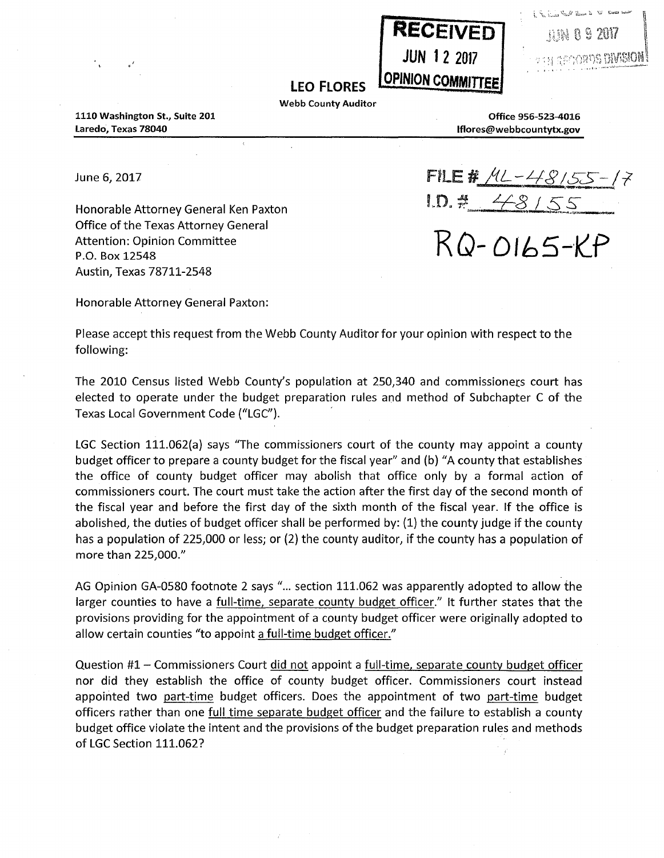

|  |  | $\sim$ 3 2017 |
|--|--|---------------|

## LEO FLORES **COPINION COMMITTEE**

Webb County Auditor

1110 Washington St., Suite 201 Laredo, Texas 78040

, '

> Office 956-523-4016 lflores@webbcountytx.gov

June 6, 2017

Honorable Attorney General Ken Paxton Office of the Texas Attorney General Attention: Opinion Committee P.O. Box 12548 Austin, Texas 78711-2548

 $FILE # ML-448/55$ -!"O. #\_ Lf:~L~\_{i *\_\_* 

RQ- **Dlb5-·l(f** 

Honorable Attorney General Paxton:

Please accept this request from the Webb County Auditor for your opinion with respect to the following:

The 2010 Census listed Webb County's population at 250,340 and commissioners court has elected to operate under the budget preparation rules and method of Subchapter C of the Texas Local Government Code ("LGC").

LGC Section 111.062(a) says "The commissioners court of the county may appoint a county budget officer to prepare a county budget for the fiscal year" and (b) "A county that establishes the office of county budget officer may abolish that office only by a formal action of commissioners court. The court must take the action after the first day of the second month of the fiscal year and before the first day of the sixth month of the fiscal year. If the office is abolished, the duties of budget officer shall be performed by: (1) the county judge if the county has a population of 225,000 or less; or (2) the county auditor, if the county has a population of more than 225,000."

AG Opinion GA-0580 footnote 2 says "... section 111.062 was apparently adopted to allow the larger counties to have a full-time, separate county budget officer." It further states that the provisions providing for the appointment of a county budget officer were originally adopted to allow certain counties "to appoint a full-time budget officer."

Question #1 - Commissioners Court did not appoint a full-time, separate county budget officer nor did they establish the office of county budget officer. Commissioners court instead appointed two part-time budget officers. Does the appointment of two part-time budget officers rather than one full time separate budget officer and the failure to establish a county budget office violate the intent and the provisions of the budget preparation rules and methods of LGC Section 111.062?